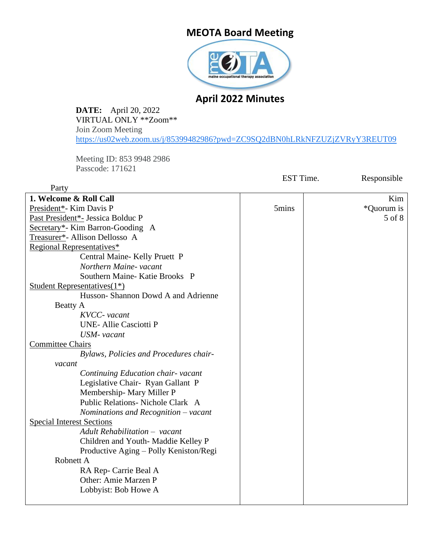# **MEOTA Board Meeting**



# **April 2022 Minutes**

**DATE:** April 20, 2022 VIRTUAL ONLY \*\*Zoom\*\* Join Zoom Meeting <https://us02web.zoom.us/j/85399482986?pwd=ZC9SQ2dBN0hLRkNFZUZjZVRyY3REUT09>

Meeting ID: 853 9948 2986 Passcode: 171621

Party

EST Time. Responsible

| 1. Welcome & Roll Call                           |       | Kim        |
|--------------------------------------------------|-------|------------|
| President*- Kim Davis P                          | 5mins | *Quorum is |
| Past President*- Jessica Bolduc P                |       | 5 of 8     |
| Secretary*- Kim Barron-Gooding A                 |       |            |
| Treasurer*- Allison Dellosso A                   |       |            |
| Regional Representatives*                        |       |            |
| Central Maine- Kelly Pruett P                    |       |            |
| Northern Maine- vacant                           |       |            |
| Southern Maine-Katie Brooks P                    |       |            |
| <b>Student Representatives</b> (1 <sup>*</sup> ) |       |            |
| Husson-Shannon Dowd A and Adrienne               |       |            |
| Beatty A                                         |       |            |
| KVCC- vacant                                     |       |            |
| <b>UNE-Allie Casciotti P</b>                     |       |            |
| USM- vacant                                      |       |            |
| <b>Committee Chairs</b>                          |       |            |
| Bylaws, Policies and Procedures chair-           |       |            |
| vacant                                           |       |            |
| Continuing Education chair-vacant                |       |            |
| Legislative Chair- Ryan Gallant P                |       |            |
| Membership-Mary Miller P                         |       |            |
| Public Relations- Nichole Clark A                |       |            |
| Nominations and Recognition $-$ vacant           |       |            |
| <b>Special Interest Sections</b>                 |       |            |
| Adult Rehabilitation - vacant                    |       |            |
| Children and Youth-Maddie Kelley P               |       |            |
| Productive Aging – Polly Keniston/Regi           |       |            |
| Robnett A                                        |       |            |
| RA Rep- Carrie Beal A                            |       |            |
| Other: Amie Marzen P                             |       |            |
| Lobbyist: Bob Howe A                             |       |            |
|                                                  |       |            |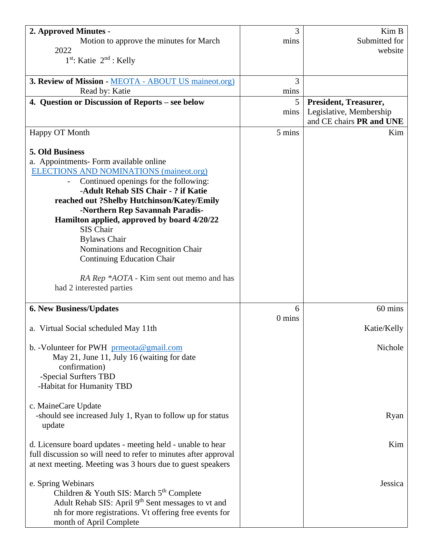| 2. Approved Minutes -                                           | 3        | Kim B                                               |
|-----------------------------------------------------------------|----------|-----------------------------------------------------|
| Motion to approve the minutes for March                         | mins     | Submitted for                                       |
| 2022<br>$1st$ : Katie $2nd$ : Kelly                             |          | website                                             |
|                                                                 |          |                                                     |
| 3. Review of Mission - MEOTA - ABOUT US maineot.org)            | 3        |                                                     |
| Read by: Katie                                                  | mins     |                                                     |
| 4. Question or Discussion of Reports – see below                | 5        | <b>President, Treasurer,</b>                        |
|                                                                 | mins     | Legislative, Membership<br>and CE chairs PR and UNE |
| Happy OT Month                                                  | 5 mins   | Kim                                                 |
|                                                                 |          |                                                     |
| 5. Old Business                                                 |          |                                                     |
| a. Appointments- Form available online                          |          |                                                     |
| <b>ELECTIONS AND NOMINATIONS (maineot.org)</b>                  |          |                                                     |
| Continued openings for the following:                           |          |                                                     |
| -Adult Rehab SIS Chair - ? if Katie                             |          |                                                     |
| reached out ?Shelby Hutchinson/Katey/Emily                      |          |                                                     |
| -Northern Rep Savannah Paradis-                                 |          |                                                     |
| Hamilton applied, approved by board 4/20/22<br>SIS Chair        |          |                                                     |
| <b>Bylaws Chair</b>                                             |          |                                                     |
| Nominations and Recognition Chair                               |          |                                                     |
| <b>Continuing Education Chair</b>                               |          |                                                     |
|                                                                 |          |                                                     |
| RA Rep *AOTA - Kim sent out memo and has                        |          |                                                     |
| had 2 interested parties                                        |          |                                                     |
|                                                                 |          |                                                     |
| <b>6. New Business/Updates</b>                                  | 6        | 60 mins                                             |
|                                                                 | $0$ mins |                                                     |
| a. Virtual Social scheduled May 11th                            |          | Katie/Kelly                                         |
| b. -Volunteer for PWH $prmeota@gmail.com$                       |          | Nichole                                             |
| May 21, June 11, July 16 (waiting for date                      |          |                                                     |
| confirmation)                                                   |          |                                                     |
| -Special Surfters TBD                                           |          |                                                     |
| -Habitat for Humanity TBD                                       |          |                                                     |
|                                                                 |          |                                                     |
| c. MaineCare Update                                             |          |                                                     |
| -should see increased July 1, Ryan to follow up for status      |          | Ryan                                                |
| update                                                          |          |                                                     |
| d. Licensure board updates - meeting held - unable to hear      |          | Kim                                                 |
| full discussion so will need to refer to minutes after approval |          |                                                     |
| at next meeting. Meeting was 3 hours due to guest speakers      |          |                                                     |
|                                                                 |          |                                                     |
| e. Spring Webinars                                              |          | Jessica                                             |
| Children & Youth SIS: March 5 <sup>th</sup> Complete            |          |                                                     |
| Adult Rehab SIS: April 9 <sup>th</sup> Sent messages to vt and  |          |                                                     |
| nh for more registrations. Vt offering free events for          |          |                                                     |
| month of April Complete                                         |          |                                                     |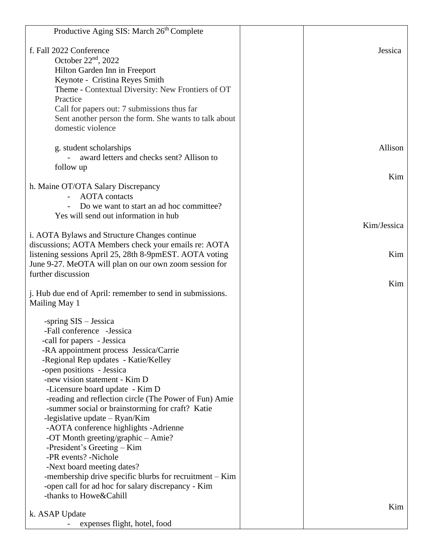| Productive Aging SIS: March 26 <sup>th</sup> Complete     |             |
|-----------------------------------------------------------|-------------|
| f. Fall 2022 Conference                                   | Jessica     |
| October $22nd$ , 2022                                     |             |
| Hilton Garden Inn in Freeport                             |             |
| Keynote - Cristina Reyes Smith                            |             |
| Theme - Contextual Diversity: New Frontiers of OT         |             |
| Practice                                                  |             |
| Call for papers out: 7 submissions thus far               |             |
| Sent another person the form. She wants to talk about     |             |
| domestic violence                                         |             |
|                                                           |             |
| g. student scholarships                                   | Allison     |
| award letters and checks sent? Allison to                 |             |
| follow up                                                 |             |
|                                                           | Kim         |
| h. Maine OT/OTA Salary Discrepancy                        |             |
| <b>AOTA</b> contacts                                      |             |
| Do we want to start an ad hoc committee?                  |             |
| Yes will send out information in hub                      |             |
|                                                           | Kim/Jessica |
| i. AOTA Bylaws and Structure Changes continue             |             |
| discussions; AOTA Members check your emails re: AOTA      |             |
| listening sessions April 25, 28th 8-9pmEST. AOTA voting   | Kim         |
| June 9-27. MeOTA will plan on our own zoom session for    |             |
| further discussion                                        |             |
|                                                           | Kim         |
| j. Hub due end of April: remember to send in submissions. |             |
| Mailing May 1                                             |             |
| -spring $SIS - Jessica$                                   |             |
| -Fall conference -Jessica                                 |             |
| -call for papers - Jessica                                |             |
| -RA appointment process Jessica/Carrie                    |             |
| -Regional Rep updates - Katie/Kelley                      |             |
| -open positions - Jessica                                 |             |
| -new vision statement - Kim D                             |             |
| -Licensure board update - Kim D                           |             |
| -reading and reflection circle (The Power of Fun) Amie    |             |
| -summer social or brainstorming for craft? Katie          |             |
| -legislative update $-$ Ryan/Kim                          |             |
| -AOTA conference highlights -Adrienne                     |             |
| -OT Month greeting/graphic – Amie?                        |             |
| -President's Greeting – Kim                               |             |
| -PR events? -Nichole                                      |             |
| -Next board meeting dates?                                |             |
| -membership drive specific blurbs for recruitment $-$ Kim |             |
| -open call for ad hoc for salary discrepancy - Kim        |             |
| -thanks to Howe&Cahill                                    |             |
|                                                           | Kim         |
| k. ASAP Update                                            |             |
| expenses flight, hotel, food                              |             |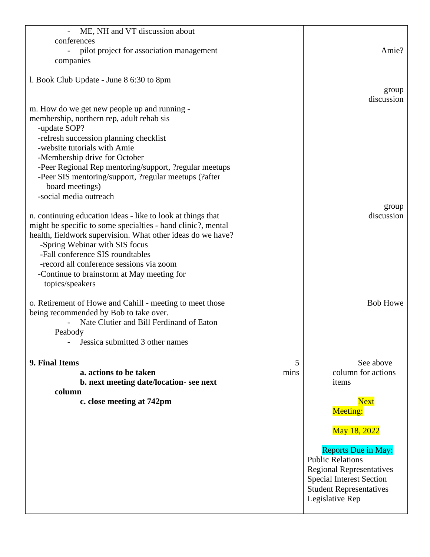| ME, NH and VT discussion about<br>conferences<br>pilot project for association management<br>companies                                                                                                                                                                                                                                                                                |           | Amie?                                                                                                                                                                            |
|---------------------------------------------------------------------------------------------------------------------------------------------------------------------------------------------------------------------------------------------------------------------------------------------------------------------------------------------------------------------------------------|-----------|----------------------------------------------------------------------------------------------------------------------------------------------------------------------------------|
| 1. Book Club Update - June 8 6:30 to 8pm                                                                                                                                                                                                                                                                                                                                              |           | group                                                                                                                                                                            |
| m. How do we get new people up and running -<br>membership, northern rep, adult rehab sis<br>-update SOP?<br>-refresh succession planning checklist<br>-website tutorials with Amie<br>-Membership drive for October<br>-Peer Regional Rep mentoring/support, ?regular meetups<br>-Peer SIS mentoring/support, ?regular meetups (?after)<br>board meetings)<br>-social media outreach |           | discussion                                                                                                                                                                       |
| n. continuing education ideas - like to look at things that<br>might be specific to some specialties - hand clinic?, mental<br>health, fieldwork supervision. What other ideas do we have?<br>-Spring Webinar with SIS focus<br>-Fall conference SIS roundtables<br>-record all conference sessions via zoom<br>-Continue to brainstorm at May meeting for<br>topics/speakers         |           | group<br>discussion                                                                                                                                                              |
| o. Retirement of Howe and Cahill - meeting to meet those<br>being recommended by Bob to take over.<br>Nate Clutier and Bill Ferdinand of Eaton<br>Peabody<br>Jessica submitted 3 other names                                                                                                                                                                                          |           | <b>Bob Howe</b>                                                                                                                                                                  |
| 9. Final Items<br>a. actions to be taken                                                                                                                                                                                                                                                                                                                                              | 5<br>mins | See above<br>column for actions                                                                                                                                                  |
| b. next meeting date/location-see next                                                                                                                                                                                                                                                                                                                                                |           | items                                                                                                                                                                            |
| column<br>c. close meeting at 742pm                                                                                                                                                                                                                                                                                                                                                   |           | <b>Next</b><br><b>Meeting:</b>                                                                                                                                                   |
|                                                                                                                                                                                                                                                                                                                                                                                       |           | May 18, 2022                                                                                                                                                                     |
|                                                                                                                                                                                                                                                                                                                                                                                       |           | <b>Reports Due in May:</b><br><b>Public Relations</b><br><b>Regional Representatives</b><br><b>Special Interest Section</b><br><b>Student Representatives</b><br>Legislative Rep |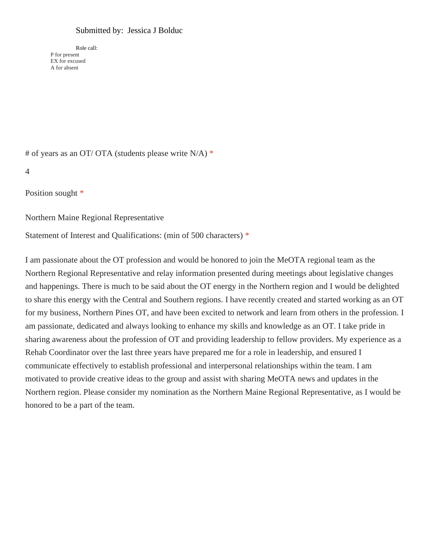### Submitted by: Jessica J Bolduc

Role call: P for present EX for excused A for absent

# of years as an OT/ OTA (students please write N/A) \*

```
4
```
Position sought \*

Northern Maine Regional Representative

Statement of Interest and Qualifications: (min of 500 characters) \*

I am passionate about the OT profession and would be honored to join the MeOTA regional team as the Northern Regional Representative and relay information presented during meetings about legislative changes and happenings. There is much to be said about the OT energy in the Northern region and I would be delighted to share this energy with the Central and Southern regions. I have recently created and started working as an OT for my business, Northern Pines OT, and have been excited to network and learn from others in the profession. I am passionate, dedicated and always looking to enhance my skills and knowledge as an OT. I take pride in sharing awareness about the profession of OT and providing leadership to fellow providers. My experience as a Rehab Coordinator over the last three years have prepared me for a role in leadership, and ensured I communicate effectively to establish professional and interpersonal relationships within the team. I am motivated to provide creative ideas to the group and assist with sharing MeOTA news and updates in the Northern region. Please consider my nomination as the Northern Maine Regional Representative, as I would be honored to be a part of the team.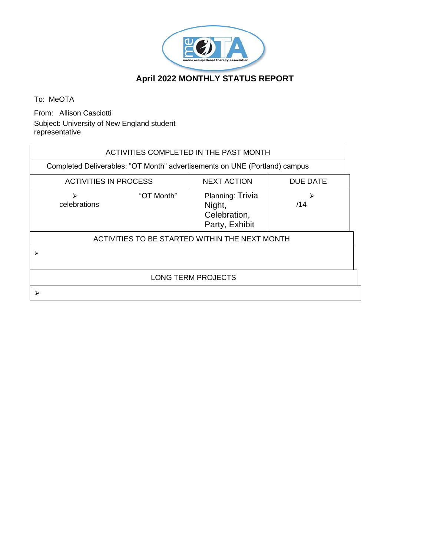

# **April 2022 MONTHLY STATUS REPORT**

To: MeOTA

From: Allison Casciotti Subject: University of New England student representative

| ACTIVITIES COMPLETED IN THE PAST MONTH                                     |            |                                                              |          |
|----------------------------------------------------------------------------|------------|--------------------------------------------------------------|----------|
| Completed Deliverables: "OT Month" advertisements on UNE (Portland) campus |            |                                                              |          |
| <b>ACTIVITIES IN PROCESS</b>                                               |            | <b>NEXT ACTION</b>                                           | DUE DATE |
| ↘<br>celebrations                                                          | "OT Month" | Planning: Trivia<br>Night,<br>Celebration,<br>Party, Exhibit | ⋗<br>/14 |
|                                                                            |            | ACTIVITIES TO BE STARTED WITHIN THE NEXT MONTH               |          |
| ↘                                                                          |            |                                                              |          |
|                                                                            |            | <b>LONG TERM PROJECTS</b>                                    |          |
|                                                                            |            |                                                              |          |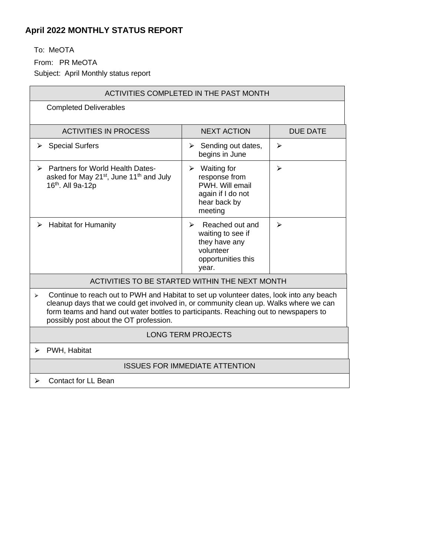# **April 2022 MONTHLY STATUS REPORT**

To: MeOTA

From: PR MeOTA

Subject: April Monthly status report

| ACTIVITIES COMPLETED IN THE PAST MONTH                                                                                                                                                                                                                                                                                  |                                                                                                                            |                 |
|-------------------------------------------------------------------------------------------------------------------------------------------------------------------------------------------------------------------------------------------------------------------------------------------------------------------------|----------------------------------------------------------------------------------------------------------------------------|-----------------|
| <b>Completed Deliverables</b>                                                                                                                                                                                                                                                                                           |                                                                                                                            |                 |
| <b>ACTIVITIES IN PROCESS</b>                                                                                                                                                                                                                                                                                            | <b>NEXT ACTION</b>                                                                                                         | <b>DUE DATE</b> |
| <b>Special Surfers</b><br>➤                                                                                                                                                                                                                                                                                             | Sending out dates,<br>➤<br>begins in June                                                                                  | ≻               |
| <b>Partners for World Health Dates-</b><br>⋗<br>asked for May 21 <sup>st</sup> , June 11 <sup>th</sup> and July<br>16th. All 9a-12p                                                                                                                                                                                     | $\triangleright$ Waiting for<br>response from<br>PWH. Will email<br>again if I do not<br>hear back by<br>meeting           | ➤               |
| <b>Habitat for Humanity</b><br>⋗                                                                                                                                                                                                                                                                                        | Reached out and<br>$\blacktriangleright$<br>waiting to see if<br>they have any<br>volunteer<br>opportunities this<br>year. | ⋗               |
| ACTIVITIES TO BE STARTED WITHIN THE NEXT MONTH                                                                                                                                                                                                                                                                          |                                                                                                                            |                 |
| Continue to reach out to PWH and Habitat to set up volunteer dates, look into any beach<br>↘<br>cleanup days that we could get involved in, or community clean up. Walks where we can<br>form teams and hand out water bottles to participants. Reaching out to newspapers to<br>possibly post about the OT profession. |                                                                                                                            |                 |
|                                                                                                                                                                                                                                                                                                                         | <b>LONG TERM PROJECTS</b>                                                                                                  |                 |
| PWH, Habitat<br>⋗                                                                                                                                                                                                                                                                                                       |                                                                                                                            |                 |
|                                                                                                                                                                                                                                                                                                                         | <b>ISSUES FOR IMMEDIATE ATTENTION</b>                                                                                      |                 |
| <b>Contact for LL Bean</b><br>⋗                                                                                                                                                                                                                                                                                         |                                                                                                                            |                 |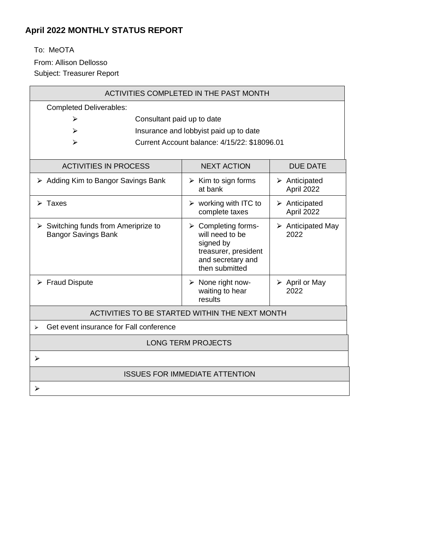# **April 2022 MONTHLY STATUS REPORT**

To: MeOTA

From: Allison Dellosso

Subject: Treasurer Report

| ACTIVITIES COMPLETED IN THE PAST MONTH                                            |                                                                                                                                                                               |  |
|-----------------------------------------------------------------------------------|-------------------------------------------------------------------------------------------------------------------------------------------------------------------------------|--|
| <b>Completed Deliverables:</b>                                                    |                                                                                                                                                                               |  |
| ⋗                                                                                 | Consultant paid up to date                                                                                                                                                    |  |
| ⋗                                                                                 | Insurance and lobbyist paid up to date                                                                                                                                        |  |
| ↘                                                                                 | Current Account balance: 4/15/22: \$18096.01                                                                                                                                  |  |
|                                                                                   |                                                                                                                                                                               |  |
| <b>ACTIVITIES IN PROCESS</b>                                                      | <b>NEXT ACTION</b><br><b>DUE DATE</b>                                                                                                                                         |  |
| $\triangleright$ Adding Kim to Bangor Savings Bank                                | $\triangleright$ Kim to sign forms<br>$\triangleright$ Anticipated<br>at bank<br>April 2022                                                                                   |  |
| $\triangleright$ Taxes                                                            | $\triangleright$ working with ITC to<br>$\triangleright$ Anticipated<br>April 2022<br>complete taxes                                                                          |  |
| $\triangleright$ Switching funds from Ameriprize to<br><b>Bangor Savings Bank</b> | $\triangleright$ Completing forms-<br>$\triangleright$ Anticipated May<br>will need to be<br>2022<br>signed by<br>treasurer, president<br>and secretary and<br>then submitted |  |
| $\triangleright$ Fraud Dispute                                                    | $\triangleright$ None right now-<br>$\triangleright$ April or May<br>2022<br>waiting to hear<br>results                                                                       |  |
| ACTIVITIES TO BE STARTED WITHIN THE NEXT MONTH                                    |                                                                                                                                                                               |  |
| Get event insurance for Fall conference<br>$\blacktriangleright$                  |                                                                                                                                                                               |  |
|                                                                                   | <b>LONG TERM PROJECTS</b>                                                                                                                                                     |  |
| ≻                                                                                 |                                                                                                                                                                               |  |
| <b>ISSUES FOR IMMEDIATE ATTENTION</b>                                             |                                                                                                                                                                               |  |
| ⋗                                                                                 |                                                                                                                                                                               |  |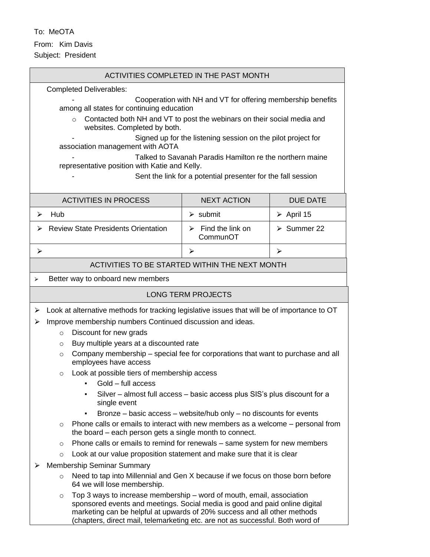To: MeOTA From: Kim Davis Subject: President

| ACTIVITIES COMPLETED IN THE PAST MONTH                                                                                                                                                                                                                                                                                        |                                                                        |                            |
|-------------------------------------------------------------------------------------------------------------------------------------------------------------------------------------------------------------------------------------------------------------------------------------------------------------------------------|------------------------------------------------------------------------|----------------------------|
| <b>Completed Deliverables:</b>                                                                                                                                                                                                                                                                                                |                                                                        |                            |
| Cooperation with NH and VT for offering membership benefits                                                                                                                                                                                                                                                                   |                                                                        |                            |
| among all states for continuing education<br>Contacted both NH and VT to post the webinars on their social media and<br>$\Omega$                                                                                                                                                                                              |                                                                        |                            |
| websites. Completed by both.                                                                                                                                                                                                                                                                                                  |                                                                        |                            |
|                                                                                                                                                                                                                                                                                                                               | Signed up for the listening session on the pilot project for           |                            |
| association management with AOTA                                                                                                                                                                                                                                                                                              |                                                                        |                            |
| representative position with Katie and Kelly.                                                                                                                                                                                                                                                                                 | Talked to Savanah Paradis Hamilton re the northern maine               |                            |
|                                                                                                                                                                                                                                                                                                                               | Sent the link for a potential presenter for the fall session           |                            |
|                                                                                                                                                                                                                                                                                                                               |                                                                        |                            |
| <b>ACTIVITIES IN PROCESS</b>                                                                                                                                                                                                                                                                                                  | <b>NEXT ACTION</b>                                                     | <b>DUE DATE</b>            |
| Hub<br>⋗                                                                                                                                                                                                                                                                                                                      | $\triangleright$ submit                                                | $\triangleright$ April 15  |
| <b>Review State Presidents Orientation</b><br>⋗                                                                                                                                                                                                                                                                               | Find the link on<br>➤<br>CommunOT                                      | $\triangleright$ Summer 22 |
| ⋗                                                                                                                                                                                                                                                                                                                             | ⋗                                                                      | ➤                          |
| ACTIVITIES TO BE STARTED WITHIN THE NEXT MONTH                                                                                                                                                                                                                                                                                |                                                                        |                            |
| Better way to onboard new members<br>➤                                                                                                                                                                                                                                                                                        |                                                                        |                            |
|                                                                                                                                                                                                                                                                                                                               | <b>LONG TERM PROJECTS</b>                                              |                            |
| Look at alternative methods for tracking legislative issues that will be of importance to OT<br>➤                                                                                                                                                                                                                             |                                                                        |                            |
| Improve membership numbers Continued discussion and ideas.<br>⋗                                                                                                                                                                                                                                                               |                                                                        |                            |
| Discount for new grads<br>$\circ$                                                                                                                                                                                                                                                                                             |                                                                        |                            |
| Buy multiple years at a discounted rate<br>$\circ$                                                                                                                                                                                                                                                                            |                                                                        |                            |
| Company membership – special fee for corporations that want to purchase and all<br>$\circ$<br>employees have access                                                                                                                                                                                                           |                                                                        |                            |
| Look at possible tiers of membership access<br>$\circ$                                                                                                                                                                                                                                                                        |                                                                        |                            |
| Gold – full access                                                                                                                                                                                                                                                                                                            |                                                                        |                            |
| Silver – almost full access – basic access plus SIS's plus discount for a<br>٠<br>single event                                                                                                                                                                                                                                |                                                                        |                            |
| Bronze $-$ basic access $-$ website/hub only $-$ no discounts for events<br>٠                                                                                                                                                                                                                                                 |                                                                        |                            |
| Phone calls or emails to interact with new members as a welcome – personal from<br>$\circ$<br>the board – each person gets a single month to connect.                                                                                                                                                                         |                                                                        |                            |
| Phone calls or emails to remind for renewals – same system for new members<br>$\Omega$                                                                                                                                                                                                                                        |                                                                        |                            |
| $\circ$                                                                                                                                                                                                                                                                                                                       | Look at our value proposition statement and make sure that it is clear |                            |
| <b>Membership Seminar Summary</b><br>⋗                                                                                                                                                                                                                                                                                        |                                                                        |                            |
| Need to tap into Millennial and Gen X because if we focus on those born before<br>$\circ$<br>64 we will lose membership.                                                                                                                                                                                                      |                                                                        |                            |
| Top 3 ways to increase membership – word of mouth, email, association<br>$\circ$<br>sponsored events and meetings. Social media is good and paid online digital<br>marketing can be helpful at upwards of 20% success and all other methods<br>(chapters, direct mail, telemarketing etc. are not as successful. Both word of |                                                                        |                            |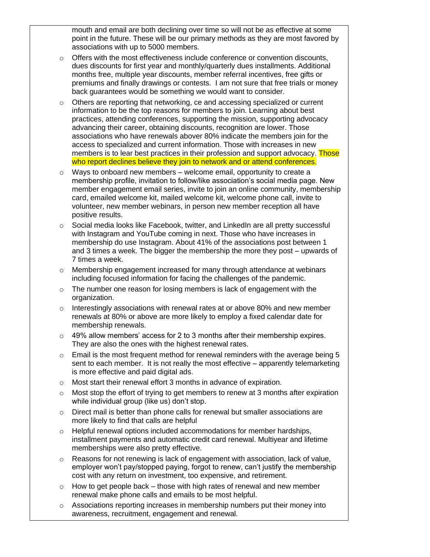mouth and email are both declining over time so will not be as effective at some point in the future. These will be our primary methods as they are most favored by associations with up to 5000 members.

- $\circ$  Offers with the most effectiveness include conference or convention discounts, dues discounts for first year and monthly/quarterly dues installments. Additional months free, multiple year discounts, member referral incentives, free gifts or premiums and finally drawings or contests. I am not sure that free trials or money back guarantees would be something we would want to consider.
- o Others are reporting that networking, ce and accessing specialized or current information to be the top reasons for members to join. Learning about best practices, attending conferences, supporting the mission, supporting advocacy advancing their career, obtaining discounts, recognition are lower. Those associations who have renewals abover 80% indicate the members join for the access to specialized and current information. Those with increases in new members is to lear best practices in their profession and support advocacy. Those who report declines believe they join to network and or attend conferences.
- $\circ$  Ways to onboard new members welcome email, opportunity to create a membership profile, invitation to follow/like association's social media page. New member engagement email series, invite to join an online community, membership card, emailed welcome kit, mailed welcome kit, welcome phone call, invite to volunteer, new member webinars, in person new member reception all have positive results.
- $\circ$  Social media looks like Facebook, twitter, and LinkedIn are all pretty successful with Instagram and YouTube coming in next. Those who have increases in membership do use Instagram. About 41% of the associations post between 1 and 3 times a week. The bigger the membership the more they post – upwards of 7 times a week.
- $\circ$  Membership engagement increased for many through attendance at webinars including focused information for facing the challenges of the pandemic.
- o The number one reason for losing members is lack of engagement with the organization.
- $\circ$  Interestingly associations with renewal rates at or above 80% and new member renewals at 80% or above are more likely to employ a fixed calendar date for membership renewals.
- $\circ$  49% allow members' access for 2 to 3 months after their membership expires. They are also the ones with the highest renewal rates.
- $\circ$  Email is the most frequent method for renewal reminders with the average being 5 sent to each member. It is not really the most effective – apparently telemarketing is more effective and paid digital ads.
- o Most start their renewal effort 3 months in advance of expiration.
- $\circ$  Most stop the effort of trying to get members to renew at 3 months after expiration while individual group (like us) don't stop.
- $\circ$  Direct mail is better than phone calls for renewal but smaller associations are more likely to find that calls are helpful
- o Helpful renewal options included accommodations for member hardships, installment payments and automatic credit card renewal. Multiyear and lifetime memberships were also pretty effective.
- $\circ$  Reasons for not renewing is lack of engagement with association, lack of value, employer won't pay/stopped paying, forgot to renew, can't justify the membership cost with any return on investment, too expensive, and retirement.
- $\circ$  How to get people back those with high rates of renewal and new member renewal make phone calls and emails to be most helpful.
- $\circ$  Associations reporting increases in membership numbers put their money into awareness, recruitment, engagement and renewal.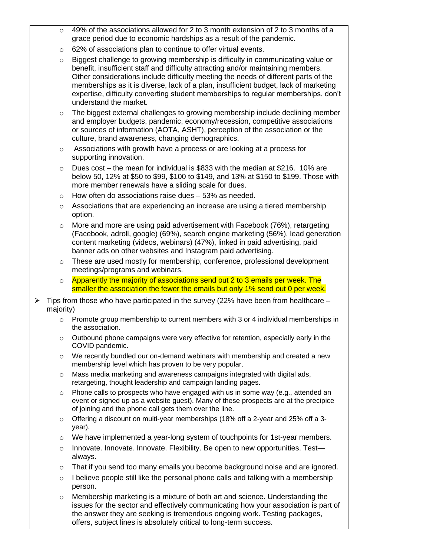- $\circ$  49% of the associations allowed for 2 to 3 month extension of 2 to 3 months of a grace period due to economic hardships as a result of the pandemic.
- o 62% of associations plan to continue to offer virtual events.
- $\circ$  Biggest challenge to growing membership is difficulty in communicating value or benefit, insufficient staff and difficulty attracting and/or maintaining members. Other considerations include difficulty meeting the needs of different parts of the memberships as it is diverse, lack of a plan, insufficient budget, lack of marketing expertise, difficulty converting student memberships to regular memberships, don't understand the market.
- $\circ$  The biggest external challenges to growing membership include declining member and employer budgets, pandemic, economy/recession, competitive associations or sources of information (AOTA, ASHT), perception of the association or the culture, brand awareness, changing demographics.
- o Associations with growth have a process or are looking at a process for supporting innovation.
- $\circ$  Dues cost the mean for individual is \$833 with the median at \$216. 10% are below 50, 12% at \$50 to \$99, \$100 to \$149, and 13% at \$150 to \$199. Those with more member renewals have a sliding scale for dues.
- o How often do associations raise dues 53% as needed.
- $\circ$  Associations that are experiencing an increase are using a tiered membership option.
- $\circ$  More and more are using paid advertisement with Facebook (76%), retargeting (Facebook, adroll, google) (69%), search engine marketing (56%), lead generation content marketing (videos, webinars) (47%), linked in paid advertising, paid banner ads on other websites and Instagram paid advertising.
- These are used mostly for membership, conference, professional development meetings/programs and webinars.
- o Apparently the majority of associations send out 2 to 3 emails per week. The smaller the association the fewer the emails but only 1% send out 0 per week.
- $\triangleright$  Tips from those who have participated in the survey (22% have been from healthcare majority)
	- $\circ$  Promote group membership to current members with 3 or 4 individual memberships in the association.
	- $\circ$  Outbound phone campaigns were very effective for retention, especially early in the COVID pandemic.
	- $\circ$  We recently bundled our on-demand webinars with membership and created a new membership level which has proven to be very popular.
	- o Mass media marketing and awareness campaigns integrated with digital ads, retargeting, thought leadership and campaign landing pages.
	- $\circ$  Phone calls to prospects who have engaged with us in some way (e.g., attended an event or signed up as a website guest). Many of these prospects are at the precipice of joining and the phone call gets them over the line.
	- $\circ$  Offering a discount on multi-year memberships (18% off a 2-year and 25% off a 3year).
	- o We have implemented a year-long system of touchpoints for 1st-year members.
	- $\circ$  Innovate. Innovate. Innovate. Flexibility. Be open to new opportunities. Testalways.
	- $\circ$  That if you send too many emails you become background noise and are ignored.
	- $\circ$  I believe people still like the personal phone calls and talking with a membership person.
	- Membership marketing is a mixture of both art and science. Understanding the issues for the sector and effectively communicating how your association is part of the answer they are seeking is tremendous ongoing work. Testing packages, offers, subject lines is absolutely critical to long-term success.